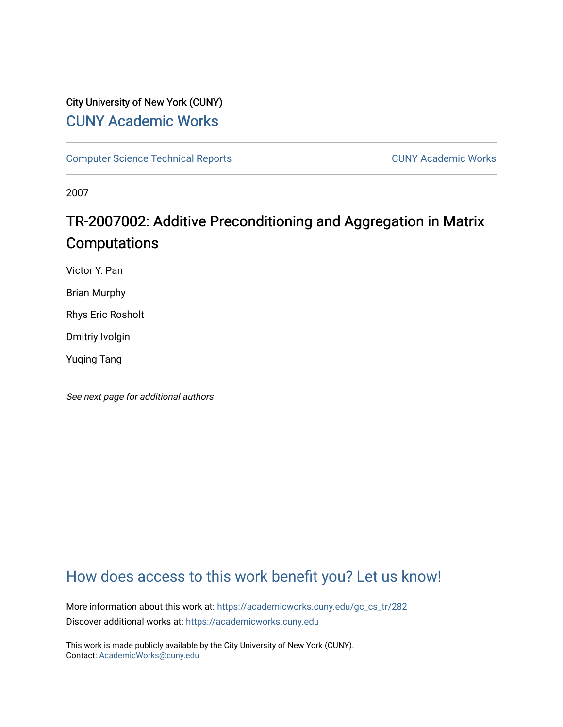# City University of New York (CUNY) [CUNY Academic Works](https://academicworks.cuny.edu/)

[Computer Science Technical Reports](https://academicworks.cuny.edu/gc_cs_tr) **CUNY Academic Works** CUNY Academic Works

2007

# TR-2007002: Additive Preconditioning and Aggregation in Matrix Computations

Victor Y. Pan

Brian Murphy

Rhys Eric Rosholt

Dmitriy Ivolgin

Yuqing Tang

See next page for additional authors

# [How does access to this work benefit you? Let us know!](http://ols.cuny.edu/academicworks/?ref=https://academicworks.cuny.edu/gc_cs_tr/282)

More information about this work at: [https://academicworks.cuny.edu/gc\\_cs\\_tr/282](https://academicworks.cuny.edu/gc_cs_tr/282)  Discover additional works at: [https://academicworks.cuny.edu](https://academicworks.cuny.edu/?)

This work is made publicly available by the City University of New York (CUNY). Contact: [AcademicWorks@cuny.edu](mailto:AcademicWorks@cuny.edu)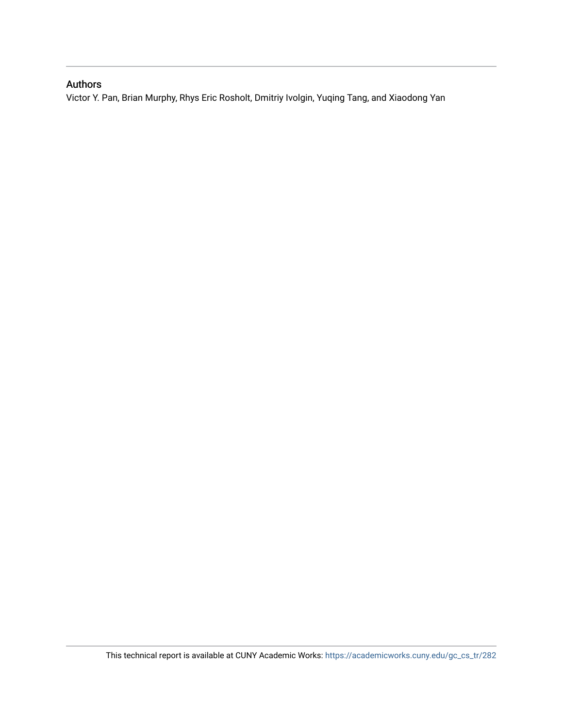## Authors

Victor Y. Pan, Brian Murphy, Rhys Eric Rosholt, Dmitriy Ivolgin, Yuqing Tang, and Xiaodong Yan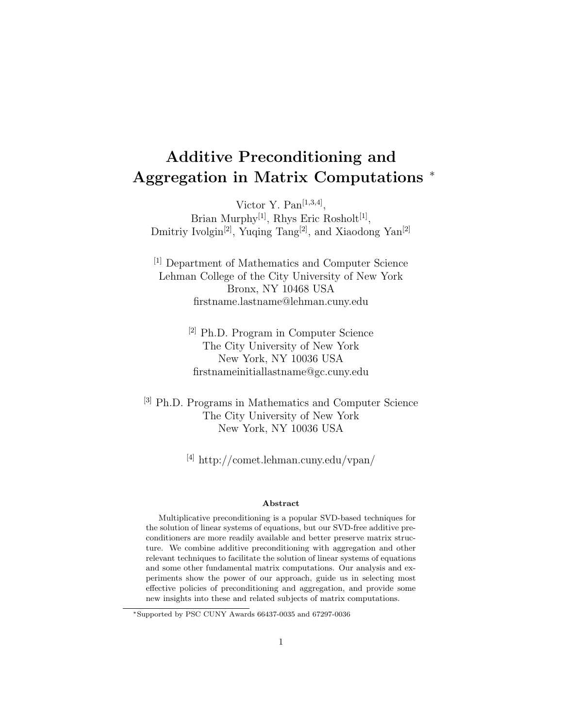# Additive Preconditioning and Aggregation in Matrix Computations <sup>∗</sup>

Victor Y. Pan $^{[1,3,4]}$ , Brian Murphy<sup>[1]</sup>, Rhys Eric Rosholt<sup>[1]</sup>, Dmitriy Ivolgin<sup>[2]</sup>, Yuqing Tang<sup>[2]</sup>, and Xiaodong Yan<sup>[2]</sup>

[1] Department of Mathematics and Computer Science Lehman College of the City University of New York Bronx, NY 10468 USA firstname.lastname@lehman.cuny.edu

> [2] Ph.D. Program in Computer Science The City University of New York New York, NY 10036 USA firstnameinitiallastname@gc.cuny.edu

[3] Ph.D. Programs in Mathematics and Computer Science The City University of New York New York, NY 10036 USA

[4] http://comet.lehman.cuny.edu/vpan/

#### Abstract

Multiplicative preconditioning is a popular SVD-based techniques for the solution of linear systems of equations, but our SVD-free additive preconditioners are more readily available and better preserve matrix structure. We combine additive preconditioning with aggregation and other relevant techniques to facilitate the solution of linear systems of equations and some other fundamental matrix computations. Our analysis and experiments show the power of our approach, guide us in selecting most effective policies of preconditioning and aggregation, and provide some new insights into these and related subjects of matrix computations.

<sup>∗</sup>Supported by PSC CUNY Awards 66437-0035 and 67297-0036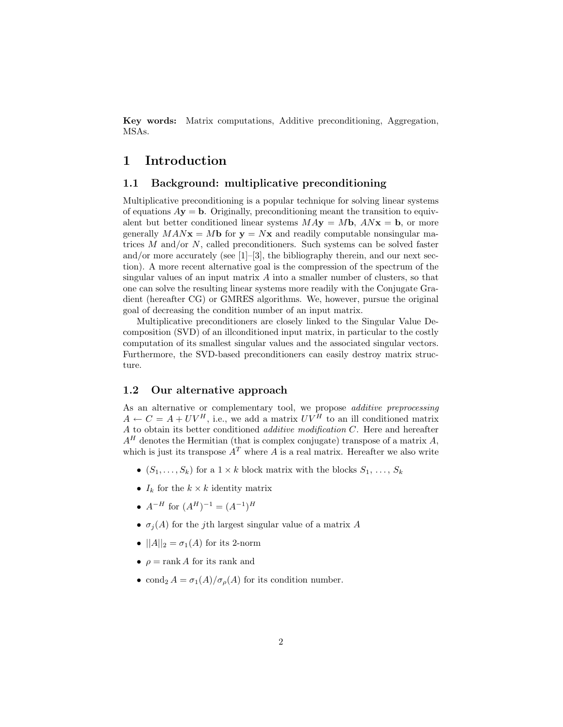Key words: Matrix computations, Additive preconditioning, Aggregation, MSAs.

## 1 Introduction

#### 1.1 Background: multiplicative preconditioning

Multiplicative preconditioning is a popular technique for solving linear systems of equations  $A$ **y** = **b**. Originally, preconditioning meant the transition to equivalent but better conditioned linear systems  $MAy = Mb$ ,  $ANx = b$ , or more generally  $MANx = Mb$  for  $y = Nx$  and readily computable nonsingular matrices  $M$  and/or  $N$ , called preconditioners. Such systems can be solved faster and/or more accurately (see  $[1]-[3]$ , the bibliography therein, and our next section). A more recent alternative goal is the compression of the spectrum of the singular values of an input matrix A into a smaller number of clusters, so that one can solve the resulting linear systems more readily with the Conjugate Gradient (hereafter CG) or GMRES algorithms. We, however, pursue the original goal of decreasing the condition number of an input matrix.

Multiplicative preconditioners are closely linked to the Singular Value Decomposition (SVD) of an illconditioned input matrix, in particular to the costly computation of its smallest singular values and the associated singular vectors. Furthermore, the SVD-based preconditioners can easily destroy matrix structure.

#### 1.2 Our alternative approach

As an alternative or complementary tool, we propose additive preprocessing  $A \leftarrow C = A + UV^H$ , i.e., we add a matrix  $UV^H$  to an ill conditioned matrix A to obtain its better conditioned additive modification C. Here and hereafter  $A<sup>H</sup>$  denotes the Hermitian (that is complex conjugate) transpose of a matrix A, which is just its transpose  $A<sup>T</sup>$  where A is a real matrix. Hereafter we also write

- $(S_1, \ldots, S_k)$  for a  $1 \times k$  block matrix with the blocks  $S_1, \ldots, S_k$
- $I_k$  for the  $k \times k$  identity matrix
- $A^{-H}$  for  $(A^H)^{-1} = (A^{-1})^H$
- $\sigma_i(A)$  for the j<sup>th</sup> largest singular value of a matrix A
- $||A||_2 = \sigma_1(A)$  for its 2-norm
- $\rho = \text{rank } A$  for its rank and
- cond<sub>2</sub>  $A = \sigma_1(A)/\sigma_\rho(A)$  for its condition number.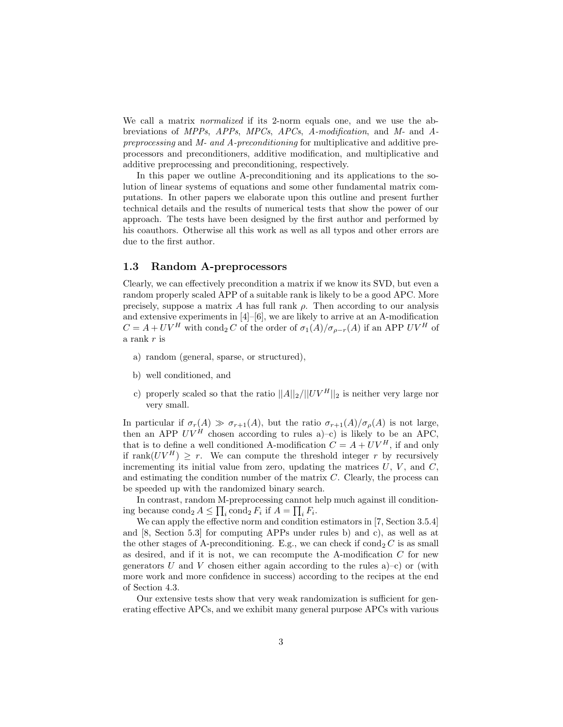We call a matrix normalized if its 2-norm equals one, and we use the abbreviations of MPPs, APPs, MPCs, APCs, A-modification, and M- and Apreprocessing and M- and A-preconditioning for multiplicative and additive preprocessors and preconditioners, additive modification, and multiplicative and additive preprocessing and preconditioning, respectively.

In this paper we outline A-preconditioning and its applications to the solution of linear systems of equations and some other fundamental matrix computations. In other papers we elaborate upon this outline and present further technical details and the results of numerical tests that show the power of our approach. The tests have been designed by the first author and performed by his coauthors. Otherwise all this work as well as all typos and other errors are due to the first author.

#### 1.3 Random A-preprocessors

Clearly, we can effectively precondition a matrix if we know its SVD, but even a random properly scaled APP of a suitable rank is likely to be a good APC. More precisely, suppose a matrix A has full rank  $\rho$ . Then according to our analysis and extensive experiments in  $[4]-[6]$ , we are likely to arrive at an A-modification  $C = A + UV^H$  with cond<sub>2</sub> C of the order of  $\sigma_1(A)/\sigma_{\rho-r}(A)$  if an APP  $UV^H$  of a rank r is

- a) random (general, sparse, or structured),
- b) well conditioned, and
- c) properly scaled so that the ratio  $||A||_2/||UV^H||_2$  is neither very large nor very small.

In particular if  $\sigma_r(A) \gg \sigma_{r+1}(A)$ , but the ratio  $\sigma_{r+1}(A)/\sigma_{\rho}(A)$  is not large, then an APP  $UV^H$  chosen according to rules a)–c) is likely to be an APC, that is to define a well conditioned A-modification  $C = A + UV^H$ , if and only if  $\text{rank}(UV^H) \geq r$ . We can compute the threshold integer r by recursively incrementing its initial value from zero, updating the matrices  $U, V,$  and  $C$ , and estimating the condition number of the matrix  $C$ . Clearly, the process can be speeded up with the randomized binary search.

In contrast, random M-preprocessing cannot help much against ill conditioning because  $\text{cond}_2 A \leq \prod_i \text{cond}_2 F_i$  if  $A = \prod_i F_i$ .

We can apply the effective norm and condition estimators in [7, Section 3.5.4] and [8, Section 5.3] for computing APPs under rules b) and c), as well as at the other stages of A-preconditioning. E.g., we can check if  $\text{cond}_2 C$  is as small as desired, and if it is not, we can recompute the A-modification  $C$  for new generators U and V chosen either again according to the rules  $a$ )–c) or (with more work and more confidence in success) according to the recipes at the end of Section 4.3.

Our extensive tests show that very weak randomization is sufficient for generating effective APCs, and we exhibit many general purpose APCs with various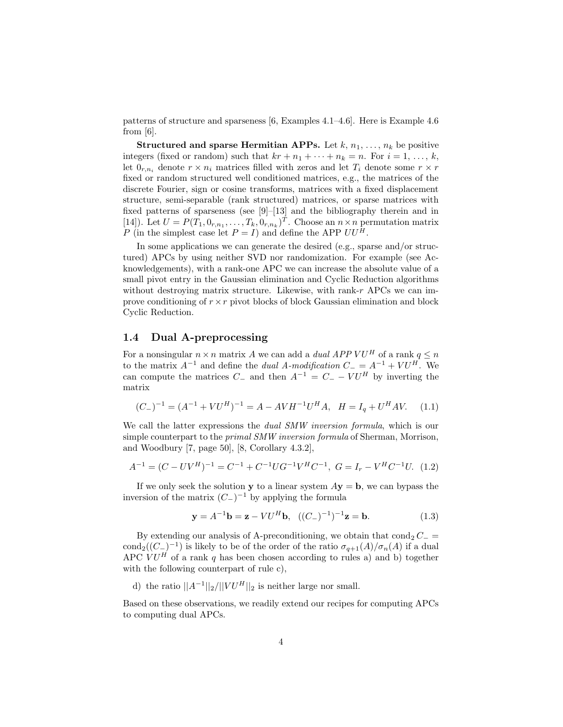patterns of structure and sparseness  $[6, Examples 4.1–4.6]$ . Here is Example 4.6 from  $[6]$ .

**Structured and sparse Hermitian APPs.** Let  $k, n_1, \ldots, n_k$  be positive integers (fixed or random) such that  $kr + n_1 + \cdots + n_k = n$ . For  $i = 1, \ldots, k$ , let  $0_{r,n_i}$  denote  $r \times n_i$  matrices filled with zeros and let  $T_i$  denote some  $r \times r$ fixed or random structured well conditioned matrices, e.g., the matrices of the discrete Fourier, sign or cosine transforms, matrices with a fixed displacement structure, semi-separable (rank structured) matrices, or sparse matrices with fixed patterns of sparseness (see [9]–[13] and the bibliography therein and in [14]). Let  $U = P(T_1, 0_{r,n_1}, \ldots, T_k, 0_{r,n_k})^T$ . Choose an  $n \times n$  permutation matrix P (in the simplest case let  $P = I$ ) and define the APP  $UU^H$ .

In some applications we can generate the desired (e.g., sparse and/or structured) APCs by using neither SVD nor randomization. For example (see Acknowledgements), with a rank-one APC we can increase the absolute value of a small pivot entry in the Gaussian elimination and Cyclic Reduction algorithms without destroying matrix structure. Likewise, with rank-r APCs we can improve conditioning of  $r \times r$  pivot blocks of block Gaussian elimination and block Cyclic Reduction.

#### 1.4 Dual A-preprocessing

For a nonsingular  $n \times n$  matrix A we can add a *dual APP VU<sup>H</sup>* of a rank  $q \leq n$ to the matrix  $A^{-1}$  and define the *dual A-modification*  $C = A^{-1} + VU^{H}$ . We can compute the matrices  $C_-\,$  and then  $A^{-1} = C_- - VU^H$  by inverting the matrix

$$
(C_{-})^{-1} = (A^{-1} + VU^{H})^{-1} = A - AVH^{-1}U^{H}A, \quad H = I_{q} + U^{H}AV.
$$
 (1.1)

We call the latter expressions the *dual SMW inversion formula*, which is our simple counterpart to the *primal SMW inversion formula* of Sherman, Morrison, and Woodbury [7, page 50], [8, Corollary 4.3.2],

$$
A^{-1} = (C - UV^H)^{-1} = C^{-1} + C^{-1} U G^{-1} V^H C^{-1}, \ G = I_r - V^H C^{-1} U. \tag{1.2}
$$

If we only seek the solution **y** to a linear system  $A$ **y** = **b**, we can bypass the inversion of the matrix  $(C_{-})^{-1}$  by applying the formula

$$
y = A^{-1}b = z - VU^Hb, \ \ ((C_{-})^{-1})^{-1}z = b.
$$
 (1.3)

By extending our analysis of A-preconditioning, we obtain that  $\text{cond}_2 C_$  = cond<sub>2</sub>( $(C_{-})^{-1}$ ) is likely to be of the order of the ratio  $\sigma_{q+1}(A)/\sigma_n(A)$  if a dual APC  $V U^H$  of a rank q has been chosen according to rules a) and b) together with the following counterpart of rule c),

d) the ratio  $||A^{-1}||_2/||VU^H||_2$  is neither large nor small.

Based on these observations, we readily extend our recipes for computing APCs to computing dual APCs.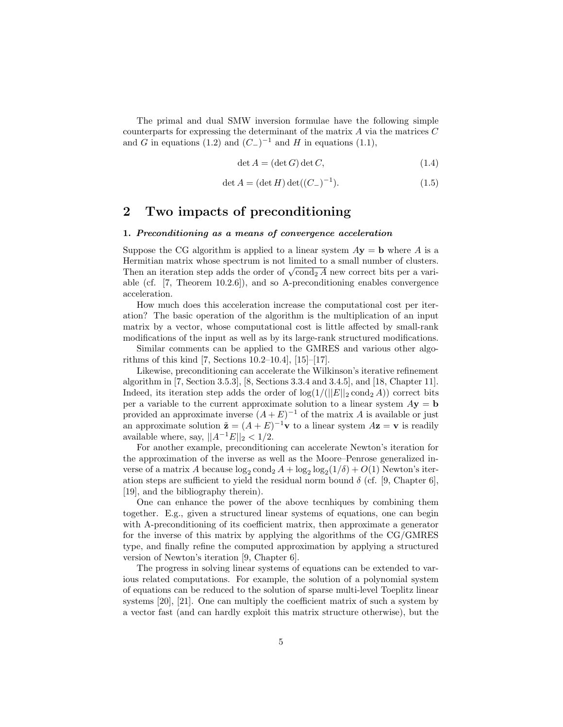The primal and dual SMW inversion formulae have the following simple counterparts for expressing the determinant of the matrix A via the matrices C and G in equations (1.2) and  $(C_{-})^{-1}$  and H in equations (1.1),

$$
\det A = (\det G) \det C,\tag{1.4}
$$

$$
\det A = (\det H) \det((C_{-})^{-1}). \tag{1.5}
$$

## 2 Two impacts of preconditioning

#### 1. Preconditioning as a means of convergence acceleration

Suppose the CG algorithm is applied to a linear system  $A$ y = b where A is a Hermitian matrix whose spectrum is not limited to a small number of clusters. Then an iteration step adds the order of  $\sqrt{\text{cond}_2 A}$  new correct bits per a variable (cf. [7, Theorem 10.2.6]), and so A-preconditioning enables convergence acceleration.

How much does this acceleration increase the computational cost per iteration? The basic operation of the algorithm is the multiplication of an input matrix by a vector, whose computational cost is little affected by small-rank modifications of the input as well as by its large-rank structured modifications.

Similar comments can be applied to the GMRES and various other algorithms of this kind [7, Sections 10.2–10.4], [15]–[17].

Likewise, preconditioning can accelerate the Wilkinson's iterative refinement algorithm in [7, Section 3.5.3], [8, Sections 3.3.4 and 3.4.5], and [18, Chapter 11]. Indeed, its iteration step adds the order of  $log(1/(||E||_2 \text{cond}_2 A))$  correct bits per a variable to the current approximate solution to a linear system  $A$ **y** = **b** provided an approximate inverse  $(A + E)^{-1}$  of the matrix A is available or just an approximate solution  $\tilde{\mathbf{z}} = (A + E)^{-1} \mathbf{v}$  to a linear system  $A\mathbf{z} = \mathbf{v}$  is readily available where, say,  $||A^{-1}E||_2 < 1/2$ .

For another example, preconditioning can accelerate Newton's iteration for the approximation of the inverse as well as the Moore–Penrose generalized inverse of a matrix A because  $\log_2 \text{cond}_2 A + \log_2 \log_2(1/\delta) + O(1)$  Newton's iteration steps are sufficient to yield the residual norm bound  $\delta$  (cf. [9, Chapter 6], [19], and the bibliography therein).

One can enhance the power of the above tecnhiques by combining them together. E.g., given a structured linear systems of equations, one can begin with A-preconditioning of its coefficient matrix, then approximate a generator for the inverse of this matrix by applying the algorithms of the CG/GMRES type, and finally refine the computed approximation by applying a structured version of Newton's iteration [9, Chapter 6].

The progress in solving linear systems of equations can be extended to various related computations. For example, the solution of a polynomial system of equations can be reduced to the solution of sparse multi-level Toeplitz linear systems [20], [21]. One can multiply the coefficient matrix of such a system by a vector fast (and can hardly exploit this matrix structure otherwise), but the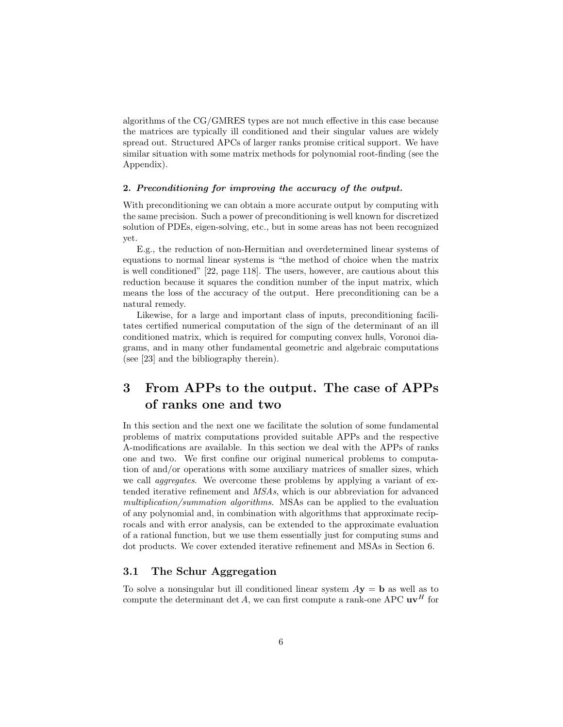algorithms of the CG/GMRES types are not much effective in this case because the matrices are typically ill conditioned and their singular values are widely spread out. Structured APCs of larger ranks promise critical support. We have similar situation with some matrix methods for polynomial root-finding (see the Appendix).

#### 2. Preconditioning for improving the accuracy of the output.

With preconditioning we can obtain a more accurate output by computing with the same precision. Such a power of preconditioning is well known for discretized solution of PDEs, eigen-solving, etc., but in some areas has not been recognized yet.

E.g., the reduction of non-Hermitian and overdetermined linear systems of equations to normal linear systems is "the method of choice when the matrix is well conditioned" [22, page 118]. The users, however, are cautious about this reduction because it squares the condition number of the input matrix, which means the loss of the accuracy of the output. Here preconditioning can be a natural remedy.

Likewise, for a large and important class of inputs, preconditioning facilitates certified numerical computation of the sign of the determinant of an ill conditioned matrix, which is required for computing convex hulls, Voronoi diagrams, and in many other fundamental geometric and algebraic computations (see [23] and the bibliography therein).

## 3 From APPs to the output. The case of APPs of ranks one and two

In this section and the next one we facilitate the solution of some fundamental problems of matrix computations provided suitable APPs and the respective A-modifications are available. In this section we deal with the APPs of ranks one and two. We first confine our original numerical problems to computation of and/or operations with some auxiliary matrices of smaller sizes, which we call aggregates. We overcome these problems by applying a variant of extended iterative refinement and MSAs, which is our abbreviation for advanced multiplication/summation algorithms. MSAs can be applied to the evaluation of any polynomial and, in combination with algorithms that approximate reciprocals and with error analysis, can be extended to the approximate evaluation of a rational function, but we use them essentially just for computing sums and dot products. We cover extended iterative refinement and MSAs in Section 6.

#### 3.1 The Schur Aggregation

To solve a nonsingular but ill conditioned linear system  $Ay = b$  as well as to compute the determinant det A, we can first compute a rank-one APC  $uv<sup>H</sup>$  for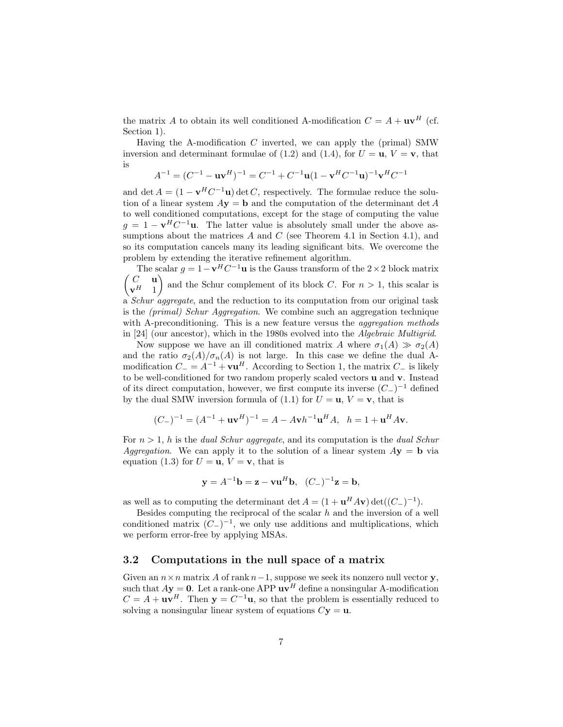the matrix A to obtain its well conditioned A-modification  $C = A + uv^H$  (cf. Section 1).

Having the A-modification C inverted, we can apply the (primal) SMW inversion and determinant formulae of (1.2) and (1.4), for  $U = \mathbf{u}, V = \mathbf{v}$ , that is

$$
A^{-1} = (C^{-1} - \mathbf{u}\mathbf{v}^H)^{-1} = C^{-1} + C^{-1}\mathbf{u}(1 - \mathbf{v}^H C^{-1}\mathbf{u})^{-1}\mathbf{v}^H C^{-1}
$$

and det  $A = (1 - \mathbf{v}^{H} C^{-1} \mathbf{u})$  det C, respectively. The formulae reduce the solution of a linear system  $A$ **y** = **b** and the computation of the determinant det A to well conditioned computations, except for the stage of computing the value  $g = 1 - \mathbf{v}^H C^{-1} \mathbf{u}$ . The latter value is absolutely small under the above assumptions about the matrices  $A$  and  $C$  (see Theorem 4.1 in Section 4.1), and so its computation cancels many its leading significant bits. We overcome the problem by extending the iterative refinement algorithm.

The scalar  $g = 1 - \mathbf{v}^H C^{-1} \mathbf{u}$  is the Gauss transform of the 2 × 2 block matrix  $\int C$  u  $\mathbf{v}^{H}$  1  $\setminus$ and the Schur complement of its block C. For  $n > 1$ , this scalar is a Schur aggregate, and the reduction to its computation from our original task is the (primal) Schur Aggregation. We combine such an aggregation technique with A-preconditioning. This is a new feature versus the *aggregation methods* in [24] (our ancestor), which in the 1980s evolved into the Algebraic Multigrid.

Now suppose we have an ill conditioned matrix A where  $\sigma_1(A) \gg \sigma_2(A)$ and the ratio  $\sigma_2(A)/\sigma_n(A)$  is not large. In this case we define the dual Amodification  $C = A^{-1} + \mathbf{v}\mathbf{u}^H$ . According to Section 1, the matrix  $C_$  is likely to be well-conditioned for two random properly scaled vectors u and v. Instead of its direct computation, however, we first compute its inverse  $(C_{-})^{-1}$  defined by the dual SMW inversion formula of (1.1) for  $U = u$ ,  $V = v$ , that is

$$
(C_{-})^{-1} = (A^{-1} + \mathbf{u}\mathbf{v}^{H})^{-1} = A - A\mathbf{v}h^{-1}\mathbf{u}^{H}A, \quad h = 1 + \mathbf{u}^{H}A\mathbf{v}.
$$

For  $n > 1$ , h is the *dual Schur aggregate*, and its computation is the *dual Schur* Aggregation. We can apply it to the solution of a linear system  $A$ **y** = **b** via equation (1.3) for  $U = \mathbf{u}, V = \mathbf{v}$ , that is

$$
y = A^{-1}b = z - vu^Hb
$$
,  $(C_{-})^{-1}z = b$ ,

as well as to computing the determinant det  $A = (1 + \mathbf{u}^H A \mathbf{v}) \det((C_-)^{-1}).$ 

Besides computing the reciprocal of the scalar  $h$  and the inversion of a well conditioned matrix  $(C_{-})^{-1}$ , we only use additions and multiplications, which we perform error-free by applying MSAs.

#### 3.2 Computations in the null space of a matrix

Given an  $n \times n$  matrix A of rank  $n-1$ , suppose we seek its nonzero null vector y, such that  $A$ **y** = 0. Let a rank-one APP  $uv<sup>H</sup>$  define a nonsingular A-modification  $C = A + \mathbf{u}\mathbf{v}^H$ . Then  $\mathbf{y} = C^{-1}\mathbf{u}$ , so that the problem is essentially reduced to solving a nonsingular linear system of equations  $C**y** = **u**$ .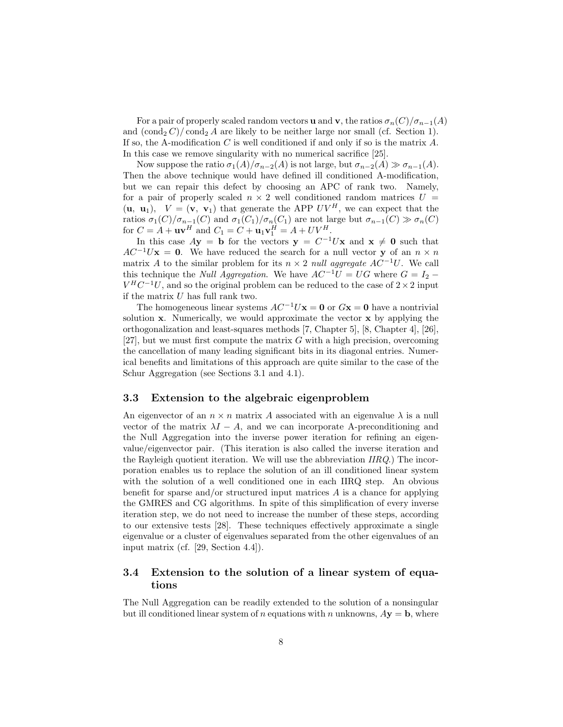For a pair of properly scaled random vectors **u** and **v**, the ratios  $\sigma_n(C)/\sigma_{n-1}(A)$ and  $(\text{cond}_2 C)/\text{cond}_2 A$  are likely to be neither large nor small (cf. Section 1). If so, the A-modification  $C$  is well conditioned if and only if so is the matrix  $A$ . In this case we remove singularity with no numerical sacrifice [25].

Now suppose the ratio  $\sigma_1(A)/\sigma_{n-2}(A)$  is not large, but  $\sigma_{n-2}(A) \gg \sigma_{n-1}(A)$ . Then the above technique would have defined ill conditioned A-modification, but we can repair this defect by choosing an APC of rank two. Namely, for a pair of properly scaled  $n \times 2$  well conditioned random matrices  $U =$  $(\mathbf{u}, \mathbf{u}_1), V = (\mathbf{v}, \mathbf{v}_1)$  that generate the APP  $UV^H$ , we can expect that the ratios  $\sigma_1(C)/\sigma_{n-1}(C)$  and  $\sigma_1(C_1)/\sigma_n(C_1)$  are not large but  $\sigma_{n-1}(C) \gg \sigma_n(C)$ for  $C = A + \mathbf{u}\mathbf{v}^H$  and  $C_1 = C + \mathbf{u}_1\mathbf{v}_1^H = A + UV^H$ .

In this case  $A$ **y** = **b** for the vectors **y** =  $C^{-1}U$ **x** and **x**  $\neq$  **0** such that  $AC^{-1}U$ **x** = 0. We have reduced the search for a null vector **y** of an  $n \times n$ matrix A to the similar problem for its  $n \times 2$  null aggregate  $AC^{-1}U$ . We call this technique the *Null Aggregation*. We have  $AC^{-1}U = UG$  where  $G = I_2$  −  $V^H C^{-1} U$ , and so the original problem can be reduced to the case of  $2 \times 2$  input if the matrix  $U$  has full rank two.

The homogeneous linear systems  $AC^{-1}U$ **x** = 0 or  $G$ **x** = 0 have a nontrivial solution  $x$ . Numerically, we would approximate the vector  $x$  by applying the orthogonalization and least-squares methods [7, Chapter 5], [8, Chapter 4], [26], [27], but we must first compute the matrix  $G$  with a high precision, overcoming the cancellation of many leading significant bits in its diagonal entries. Numerical benefits and limitations of this approach are quite similar to the case of the Schur Aggregation (see Sections 3.1 and 4.1).

#### 3.3 Extension to the algebraic eigenproblem

An eigenvector of an  $n \times n$  matrix A associated with an eigenvalue  $\lambda$  is a null vector of the matrix  $\lambda I - A$ , and we can incorporate A-preconditioning and the Null Aggregation into the inverse power iteration for refining an eigenvalue/eigenvector pair. (This iteration is also called the inverse iteration and the Rayleigh quotient iteration. We will use the abbreviation  $IIRQ$ .) The incorporation enables us to replace the solution of an ill conditioned linear system with the solution of a well conditioned one in each IIRQ step. An obvious benefit for sparse and/or structured input matrices  $A$  is a chance for applying the GMRES and CG algorithms. In spite of this simplification of every inverse iteration step, we do not need to increase the number of these steps, according to our extensive tests [28]. These techniques effectively approximate a single eigenvalue or a cluster of eigenvalues separated from the other eigenvalues of an input matrix (cf. [29, Section 4.4]).

### 3.4 Extension to the solution of a linear system of equations

The Null Aggregation can be readily extended to the solution of a nonsingular but ill conditioned linear system of n equations with n unknowns,  $A$ **y** = **b**, where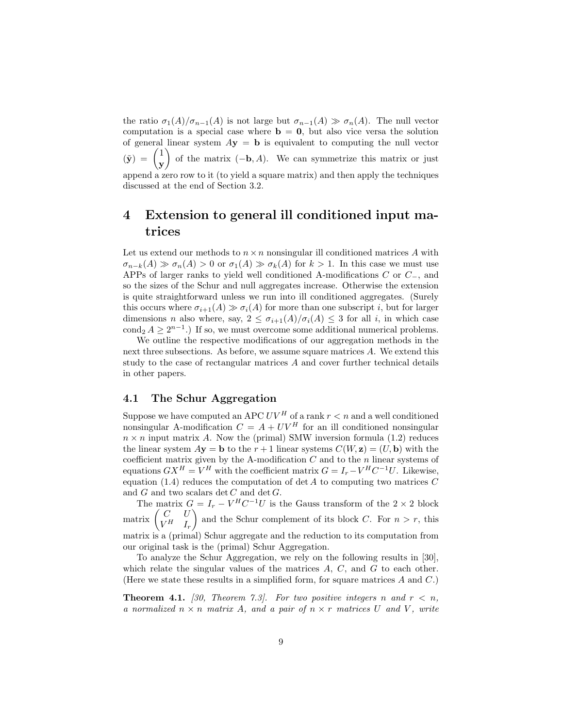the ratio  $\sigma_1(A)/\sigma_{n-1}(A)$  is not large but  $\sigma_{n-1}(A) \gg \sigma_n(A)$ . The null vector computation is a special case where  $\mathbf{b} = \mathbf{0}$ , but also vice versa the solution of general linear system  $A$ **y** = **b** is equivalent to computing the null vector  $(\tilde{\mathbf{y}}) = \begin{pmatrix} 1 \\ 1 \end{pmatrix}$ y of the matrix  $(-\mathbf{b}, A)$ . We can symmetrize this matrix or just append a zero row to it (to yield a square matrix) and then apply the techniques discussed at the end of Section 3.2.

## 4 Extension to general ill conditioned input matrices

Let us extend our methods to  $n \times n$  nonsingular ill conditioned matrices A with  $\sigma_{n-k}(A) \gg \sigma_n(A) > 0$  or  $\sigma_1(A) \gg \sigma_k(A)$  for  $k > 1$ . In this case we must use APPs of larger ranks to yield well conditioned A-modifications C or C−, and so the sizes of the Schur and null aggregates increase. Otherwise the extension is quite straightforward unless we run into ill conditioned aggregates. (Surely this occurs where  $\sigma_{i+1}(A) \gg \sigma_i(A)$  for more than one subscript i, but for larger dimensions n also where, say,  $2 \leq \sigma_{i+1}(A)/\sigma_i(A) \leq 3$  for all i, in which case cond<sub>2</sub>  $A \geq 2^{n-1}$ .) If so, we must overcome some additional numerical problems.

We outline the respective modifications of our aggregation methods in the next three subsections. As before, we assume square matrices A. We extend this study to the case of rectangular matrices A and cover further technical details in other papers.

### 4.1 The Schur Aggregation

Suppose we have computed an APC  $UV^H$  of a rank  $r < n$  and a well conditioned nonsingular A-modification  $C = A + UV^H$  for an ill conditioned nonsingular  $n \times n$  input matrix A. Now the (primal) SMW inversion formula (1.2) reduces the linear system  $A$ **y** = **b** to the  $r + 1$  linear systems  $C(W, z) = (U, b)$  with the coefficient matrix given by the A-modification  $C$  and to the  $n$  linear systems of equations  $GX^{H} = V^{H}$  with the coefficient matrix  $G = I_{r} - V^{H}C^{-1}U$ . Likewise, equation (1.4) reduces the computation of det  $A$  to computing two matrices  $C$ and  $G$  and two scalars det  $C$  and det  $G$ .

The matrix  $G = I_r - V^H C^{-1} U$  is the Gauss transform of the  $2 \times 2$  block matrix  $\begin{pmatrix} C & U \\ V^H & I \end{pmatrix}$  $V^H$   $I_r$ and the Schur complement of its block C. For  $n > r$ , this matrix is a (primal) Schur aggregate and the reduction to its computation from our original task is the (primal) Schur Aggregation.

To analyze the Schur Aggregation, we rely on the following results in [30], which relate the singular values of the matrices  $A, C$ , and  $G$  to each other. (Here we state these results in a simplified form, for square matrices A and C.)

**Theorem 4.1.** [30, Theorem 7.3]. For two positive integers n and  $r < n$ , a normalized  $n \times n$  matrix A, and a pair of  $n \times r$  matrices U and V, write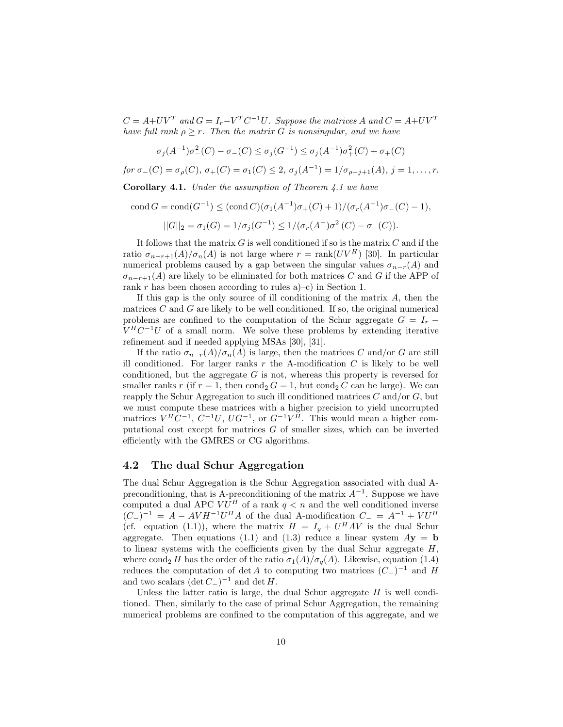$C = A + UV^T$  and  $G = I_r - V^T C^{-1} U$ . Suppose the matrices A and  $C = A + UV^T$ have full rank  $\rho \geq r$ . Then the matrix G is nonsingular, and we have

$$
\sigma_j(A^{-1})\sigma_-^2(C) - \sigma_-(C) \le \sigma_j(G^{-1}) \le \sigma_j(A^{-1})\sigma_+^2(C) + \sigma_+(C)
$$

for  $\sigma_-(C) = \sigma_\rho(C)$ ,  $\sigma_+(C) = \sigma_1(C) \leq 2$ ,  $\sigma_j(A^{-1}) = 1/\sigma_{\rho-j+1}(A)$ ,  $j = 1, \ldots, r$ .

Corollary 4.1. Under the assumption of Theorem 4.1 we have

cond  $G = \text{cond}(G^{-1}) \leq (\text{cond } C)(\sigma_1(A^{-1})\sigma_+(C) + 1)/(\sigma_r(A^{-1})\sigma_-(C) - 1),$ 

$$
||G||_2 = \sigma_1(G) = 1/\sigma_j(G^{-1}) \le 1/(\sigma_r(A^-)\sigma^2_-(C) - \sigma_-(C)).
$$

It follows that the matrix  $G$  is well conditioned if so is the matrix  $C$  and if the ratio  $\sigma_{n-r+1}(A)/\sigma_n(A)$  is not large where  $r = \text{rank}(UV^H)$  [30]. In particular numerical problems caused by a gap between the singular values  $\sigma_{n-r}(A)$  and  $\sigma_{n-r+1}(A)$  are likely to be eliminated for both matrices C and G if the APP of rank  $r$  has been chosen according to rules a)–c) in Section 1.

If this gap is the only source of ill conditioning of the matrix  $A$ , then the matrices  $C$  and  $G$  are likely to be well conditioned. If so, the original numerical problems are confined to the computation of the Schur aggregate  $G = I_r$  $V^H C^{-1} U$  of a small norm. We solve these problems by extending iterative refinement and if needed applying MSAs [30], [31].

If the ratio  $\sigma_{n-r}(A)/\sigma_n(A)$  is large, then the matrices C and/or G are still ill conditioned. For larger ranks  $r$  the A-modification  $C$  is likely to be well conditioned, but the aggregate  $G$  is not, whereas this property is reversed for smaller ranks r (if  $r = 1$ , then  $\text{cond}_2 G = 1$ , but  $\text{cond}_2 C$  can be large). We can reapply the Schur Aggregation to such ill conditioned matrices  $C$  and/or  $G$ , but we must compute these matrices with a higher precision to yield uncorrupted matrices  $V^H C^{-1}$ ,  $C^{-1}U$ ,  $UG^{-1}$ , or  $G^{-1}V^{\tilde{H}}$ . This would mean a higher computational cost except for matrices G of smaller sizes, which can be inverted efficiently with the GMRES or CG algorithms.

#### 4.2 The dual Schur Aggregation

The dual Schur Aggregation is the Schur Aggregation associated with dual Apreconditioning, that is A-preconditioning of the matrix  $A^{-1}$ . Suppose we have computed a dual APC  $V U^H$  of a rank  $q < n$  and the well conditioned inverse  $(C_{-})^{-1} = A - AVH^{-1}U^{H}A$  of the dual A-modification  $C_{-} = A^{-1} + VU^{H}$ (cf. equation (1.1)), where the matrix  $H = I_q + U^H A V$  is the dual Schur aggregate. Then equations (1.1) and (1.3) reduce a linear system  $A$ **y** = **b** to linear systems with the coefficients given by the dual Schur aggregate  $H$ , where cond<sub>2</sub> H has the order of the ratio  $\sigma_1(A)/\sigma_q(A)$ . Likewise, equation (1.4) reduces the computation of det A to computing two matrices  $(C_-)^{-1}$  and H and two scalars  $(\det C_{-})^{-1}$  and  $\det H$ .

Unless the latter ratio is large, the dual Schur aggregate  $H$  is well conditioned. Then, similarly to the case of primal Schur Aggregation, the remaining numerical problems are confined to the computation of this aggregate, and we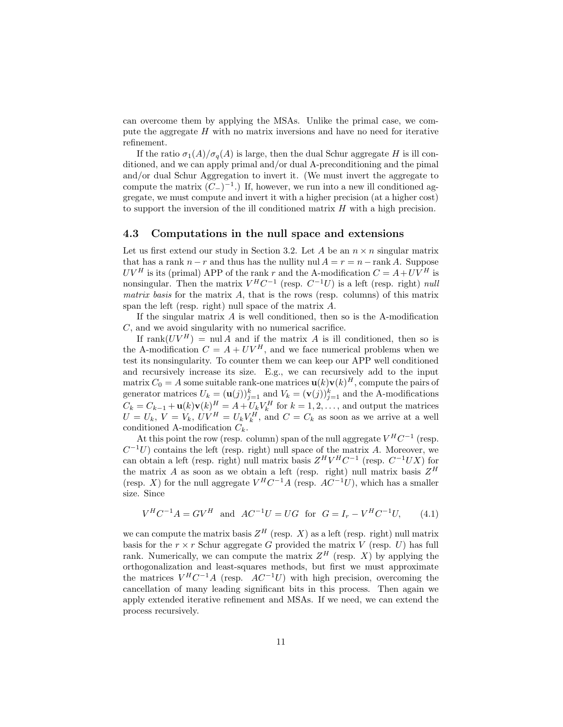can overcome them by applying the MSAs. Unlike the primal case, we compute the aggregate  $H$  with no matrix inversions and have no need for iterative refinement.

If the ratio  $\sigma_1(A)/\sigma_q(A)$  is large, then the dual Schur aggregate H is ill conditioned, and we can apply primal and/or dual A-preconditioning and the pimal and/or dual Schur Aggregation to invert it. (We must invert the aggregate to compute the matrix  $(\widetilde{C}_{-})^{-1}$ .) If, however, we run into a new ill conditioned aggregate, we must compute and invert it with a higher precision (at a higher cost) to support the inversion of the ill conditioned matrix H with a high precision.

#### 4.3 Computations in the null space and extensions

Let us first extend our study in Section 3.2. Let A be an  $n \times n$  singular matrix that has a rank  $n - r$  and thus has the nullity nul  $A = r = n - \text{rank } A$ . Suppose  $UV^H$  is its (primal) APP of the rank r and the A-modification  $C = A + UV^H$  is nonsingular. Then the matrix  $V^H C^{-1}$  (resp.  $C^{-1}U$ ) is a left (resp. right) null matrix basis for the matrix  $A$ , that is the rows (resp. columns) of this matrix span the left (resp. right) null space of the matrix A.

If the singular matrix  $A$  is well conditioned, then so is the A-modification C, and we avoid singularity with no numerical sacrifice.

If  $rank(UV^H) = null A$  and if the matrix A is ill conditioned, then so is the A-modification  $C = A + UV^H$ , and we face numerical problems when we test its nonsingularity. To counter them we can keep our APP well conditioned and recursively increase its size. E.g., we can recursively add to the input matrix  $C_0 = A$  some suitable rank-one matrices  $\mathbf{u}(k)\mathbf{v}(k)^H$ , compute the pairs of generator matrices  $U_k = (\mathbf{u}(j))_{j=1}^k$  and  $V_k = (\mathbf{v}(j))_{j=1}^k$  and the A-modifications  $C_k = C_{k-1} + \mathbf{u}(k)\mathbf{v}(k)$ <sup>H</sup> $= A + U_k V_k^H$  for  $k = 1, 2, \ldots$ , and output the matrices  $U = U_k$ ,  $V = V_k$ ,  $UV^H = U_k V_k^H$ , and  $C = C_k$  as soon as we arrive at a well conditioned A-modification  $C_k$ .

At this point the row (resp. column) span of the null aggregate  $V^H C^{-1}$  (resp.  $C^{-1}U$ ) contains the left (resp. right) null space of the matrix A. Moreover, we can obtain a left (resp. right) null matrix basis  $Z^H V^H C^{-1}$  (resp.  $C^{-1}UX$ ) for the matrix A as soon as we obtain a left (resp. right) null matrix basis  $Z^H$ (resp. X) for the null aggregate  $V^H C^{-1} A$  (resp.  $AC^{-1}U$ ), which has a smaller size. Since

$$
V^{H}C^{-1}A = GV^{H} \text{ and } AC^{-1}U = UG \text{ for } G = I_{r} - V^{H}C^{-1}U, \qquad (4.1)
$$

we can compute the matrix basis  $Z^H$  (resp. X) as a left (resp. right) null matrix basis for the  $r \times r$  Schur aggregate G provided the matrix V (resp. U) has full rank. Numerically, we can compute the matrix  $Z^H$  (resp. X) by applying the orthogonalization and least-squares methods, but first we must approximate the matrices  $V^H C^{-1} A$  (resp.  $AC^{-1} U$ ) with high precision, overcoming the cancellation of many leading significant bits in this process. Then again we apply extended iterative refinement and MSAs. If we need, we can extend the process recursively.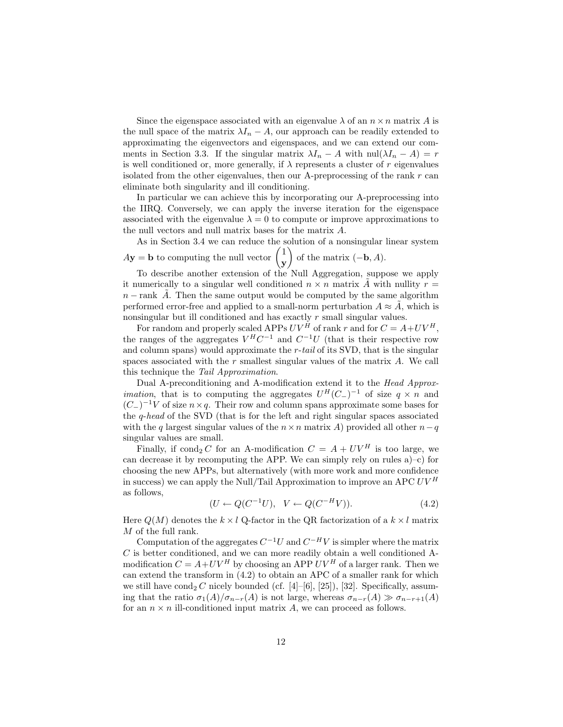Since the eigenspace associated with an eigenvalue  $\lambda$  of an  $n \times n$  matrix A is the null space of the matrix  $\lambda I_n - A$ , our approach can be readily extended to approximating the eigenvectors and eigenspaces, and we can extend our comments in Section 3.3. If the singular matrix  $\lambda I_n - A$  with nul $(\lambda I_n - A) = r$ is well conditioned or, more generally, if  $\lambda$  represents a cluster of r eigenvalues isolated from the other eigenvalues, then our A-preprocessing of the rank  $r$  can eliminate both singularity and ill conditioning.

In particular we can achieve this by incorporating our A-preprocessing into the IIRQ. Conversely, we can apply the inverse iteration for the eigenspace associated with the eigenvalue  $\lambda = 0$  to compute or improve approximations to the null vectors and null matrix bases for the matrix A.

As in Section 3.4 we can reduce the solution of a nonsingular linear system  $A$ **y** = **b** to computing the null vector  $\begin{pmatrix} 1 \\ 1 \end{pmatrix}$ y of the matrix  $(-\mathbf{b}, A)$ .

To describe another extension of the Null Aggregation, suppose we apply it numerically to a singular well conditioned  $n \times n$  matrix  $\hat{A}$  with nullity  $r =$  $n - \text{rank } A$ . Then the same output would be computed by the same algorithm performed error-free and applied to a small-norm perturbation  $A \approx \tilde{A}$ , which is nonsingular but ill conditioned and has exactly r small singular values.

For random and properly scaled APPs  $UV^H$  of rank r and for  $C = A + UV^H$ , the ranges of the aggregates  $V^H C^{-1}$  and  $C^{-1}U$  (that is their respective row and column spans) would approximate the r-tail of its SVD, that is the singular spaces associated with the  $r$  smallest singular values of the matrix  $A$ . We call this technique the Tail Approximation.

Dual A-preconditioning and A-modification extend it to the Head Approx*imation*, that is to computing the aggregates  $U^H(C_-)^{-1}$  of size  $q \times n$  and  $(C_{-})^{-1}V$  of size  $n \times q$ . Their row and column spans approximate some bases for the q-head of the SVD (that is for the left and right singular spaces associated with the q largest singular values of the  $n \times n$  matrix A) provided all other  $n-q$ singular values are small.

Finally, if  $\text{cond}_2 C$  for an A-modification  $C = A + UV^H$  is too large, we can decrease it by recomputing the APP. We can simply rely on rules  $a$ )–c) for choosing the new APPs, but alternatively (with more work and more confidence in success) we can apply the Null/Tail Approximation to improve an APC  $UV^H$ as follows,

$$
(U \leftarrow Q(C^{-1}U), \ \ V \leftarrow Q(C^{-H}V)). \tag{4.2}
$$

Here  $Q(M)$  denotes the  $k \times l$  Q-factor in the QR factorization of a  $k \times l$  matrix M of the full rank.

Computation of the aggregates  $C^{-1}U$  and  $C^{-H}V$  is simpler where the matrix  $C$  is better conditioned, and we can more readily obtain a well conditioned Amodification  $C = A + UV^H$  by choosing an APP  $UV^H$  of a larger rank. Then we can extend the transform in (4.2) to obtain an APC of a smaller rank for which we still have  $\text{cond}_2 C$  nicely bounded (cf. [4]–[6], [25]), [32]. Specifically, assuming that the ratio  $\sigma_1(A)/\sigma_{n-r}(A)$  is not large, whereas  $\sigma_{n-r}(A) \gg \sigma_{n-r+1}(A)$ for an  $n \times n$  ill-conditioned input matrix A, we can proceed as follows.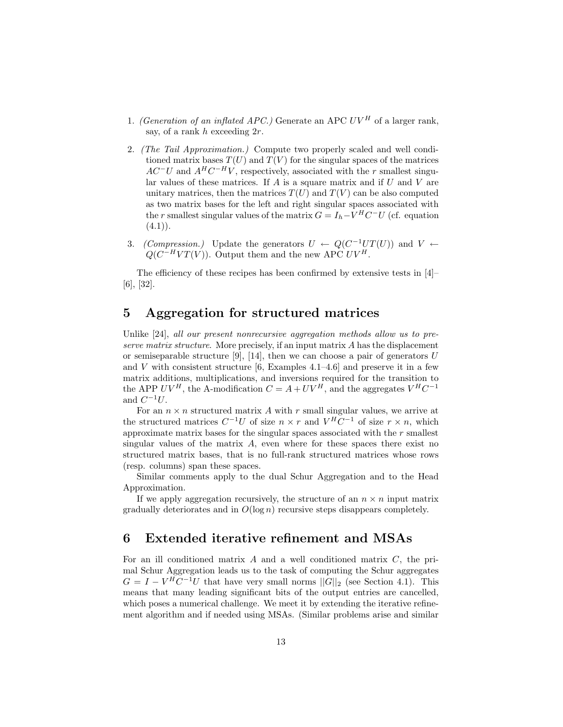- 1. (Generation of an inflated APC.) Generate an APC  $UV^H$  of a larger rank, say, of a rank  $h$  exceeding  $2r$ .
- 2. (The Tail Approximation.) Compute two properly scaled and well conditioned matrix bases  $T(U)$  and  $T(V)$  for the singular spaces of the matrices  $AC^-U$  and  $A^HC^{-H}V$ , respectively, associated with the r smallest singular values of these matrices. If  $A$  is a square matrix and if  $U$  and  $V$  are unitary matrices, then the matrices  $T(U)$  and  $T(V)$  can be also computed as two matrix bases for the left and right singular spaces associated with the r smallest singular values of the matrix  $G = I_h - \tilde{V}^H C^- U$  (cf. equation  $(4.1)$ .
- 3. (Compression.) Update the generators  $U \leftarrow Q(C^{-1}UT(U))$  and  $V \leftarrow$  $Q(C^{-H}VT(V))$ . Output them and the new APC  $UV^H$ .

The efficiency of these recipes has been confirmed by extensive tests in [4]– [6], [32].

### 5 Aggregation for structured matrices

Unlike [24], all our present nonrecursive aggregation methods allow us to preserve matrix structure. More precisely, if an input matrix A has the displacement or semiseparable structure [9], [14], then we can choose a pair of generators  $U$ and V with consistent structure  $[6, \text{Examples } 4.1-4.6]$  and preserve it in a few matrix additions, multiplications, and inversions required for the transition to the APP  $UV^H$ , the A-modification  $C = A + UV^H$ , and the aggregates  $V^H C^{-1}$ and  $C^{-1}U$ .

For an  $n \times n$  structured matrix A with r small singular values, we arrive at the structured matrices  $C^{-1}U$  of size  $n \times r$  and  $V^H C^{-1}$  of size  $r \times n$ , which approximate matrix bases for the singular spaces associated with the  $r$  smallest singular values of the matrix  $A$ , even where for these spaces there exist no structured matrix bases, that is no full-rank structured matrices whose rows (resp. columns) span these spaces.

Similar comments apply to the dual Schur Aggregation and to the Head Approximation.

If we apply aggregation recursively, the structure of an  $n \times n$  input matrix gradually deteriorates and in  $O(\log n)$  recursive steps disappears completely.

### 6 Extended iterative refinement and MSAs

For an ill conditioned matrix  $A$  and a well conditioned matrix  $C$ , the primal Schur Aggregation leads us to the task of computing the Schur aggregates  $G = I - V^H C^{-1} U$  that have very small norms  $||G||_2$  (see Section 4.1). This means that many leading significant bits of the output entries are cancelled, which poses a numerical challenge. We meet it by extending the iterative refinement algorithm and if needed using MSAs. (Similar problems arise and similar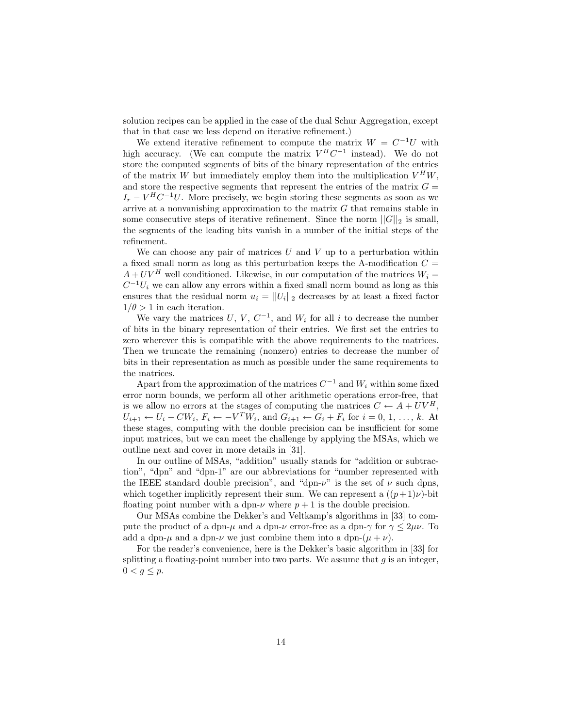solution recipes can be applied in the case of the dual Schur Aggregation, except that in that case we less depend on iterative refinement.)

We extend iterative refinement to compute the matrix  $W = C^{-1}U$  with high accuracy. (We can compute the matrix  $V^H C^{-1}$  instead). We do not store the computed segments of bits of the binary representation of the entries of the matrix W but immediately employ them into the multiplication  $V^H W$ , and store the respective segments that represent the entries of the matrix  $G =$  $I_r - V^H C^{-1} U$ . More precisely, we begin storing these segments as soon as we arrive at a nonvanishing approximation to the matrix G that remains stable in some consecutive steps of iterative refinement. Since the norm  $||G||_2$  is small, the segments of the leading bits vanish in a number of the initial steps of the refinement.

We can choose any pair of matrices  $U$  and  $V$  up to a perturbation within a fixed small norm as long as this perturbation keeps the A-modification  $C =$  $A + UV^H$  well conditioned. Likewise, in our computation of the matrices  $W_i =$  $C^{-1}U_i$  we can allow any errors within a fixed small norm bound as long as this ensures that the residual norm  $u_i = ||U_i||_2$  decreases by at least a fixed factor  $1/\theta > 1$  in each iteration.

We vary the matrices  $U, V, C^{-1}$ , and  $W_i$  for all i to decrease the number of bits in the binary representation of their entries. We first set the entries to zero wherever this is compatible with the above requirements to the matrices. Then we truncate the remaining (nonzero) entries to decrease the number of bits in their representation as much as possible under the same requirements to the matrices.

Apart from the approximation of the matrices  $C^{-1}$  and  $W_i$  within some fixed error norm bounds, we perform all other arithmetic operations error-free, that is we allow no errors at the stages of computing the matrices  $C \leftarrow A + UV^H$ ,  $U_{i+1} \leftarrow U_i - CW_i, F_i \leftarrow -V^T W_i$ , and  $G_{i+1} \leftarrow G_i + F_i$  for  $i = 0, 1, ..., k$ . At these stages, computing with the double precision can be insufficient for some input matrices, but we can meet the challenge by applying the MSAs, which we outline next and cover in more details in [31].

In our outline of MSAs, "addition" usually stands for "addition or subtraction", "dpn" and "dpn-1" are our abbreviations for "number represented with the IEEE standard double precision", and "dpn- $\nu$ " is the set of  $\nu$  such dpns, which together implicitly represent their sum. We can represent a  $((p+1)\nu)$ -bit floating point number with a dpn- $\nu$  where  $p + 1$  is the double precision.

Our MSAs combine the Dekker's and Veltkamp's algorithms in [33] to compute the product of a dpn- $\mu$  and a dpn- $\nu$  error-free as a dpn- $\gamma$  for  $\gamma \leq 2\mu\nu$ . To add a dpn- $\mu$  and a dpn- $\nu$  we just combine them into a dpn- $(\mu + \nu)$ .

For the reader's convenience, here is the Dekker's basic algorithm in [33] for splitting a floating-point number into two parts. We assume that  $g$  is an integer,  $0 < g \leq p$ .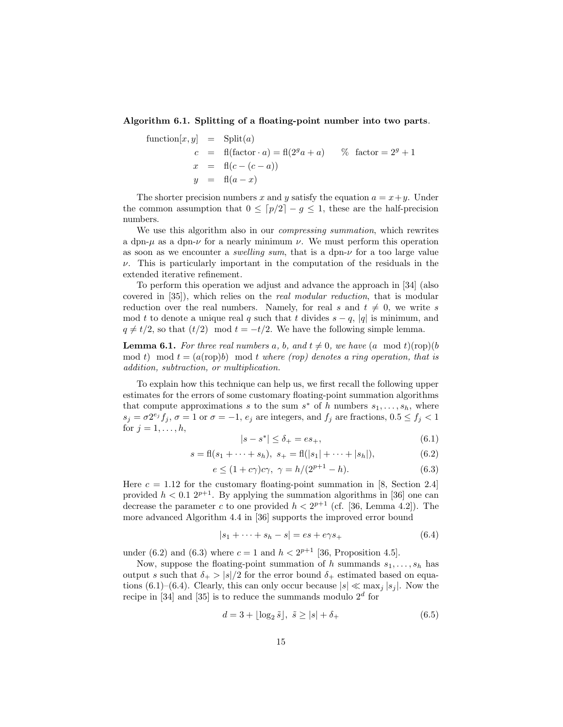#### Algorithm 6.1. Splitting of a floating-point number into two parts.

function[x, y] = Split(a)  
\n
$$
c = \text{fl}(\text{factor} \cdot a) = \text{fl}(2^g a + a) \quad \text{\% factor} = 2^g + 1
$$
\n
$$
x = \text{fl}(c - (c - a))
$$
\n
$$
y = \text{fl}(a - x)
$$

The shorter precision numbers x and y satisfy the equation  $a = x + y$ . Under the common assumption that  $0 \leq [p/2] - g \leq 1$ , these are the half-precision numbers.

We use this algorithm also in our *compressing summation*, which rewrites a dpn- $\mu$  as a dpn- $\nu$  for a nearly minimum  $\nu$ . We must perform this operation as soon as we encounter a *swelling sum*, that is a dpn- $\nu$  for a too large value  $\nu$ . This is particularly important in the computation of the residuals in the extended iterative refinement.

To perform this operation we adjust and advance the approach in [34] (also covered in [35]), which relies on the real modular reduction, that is modular reduction over the real numbers. Namely, for real s and  $t \neq 0$ , we write s mod t to denote a unique real q such that t divides  $s - q$ , |q| is minimum, and  $q \neq t/2$ , so that  $(t/2) \mod t = -t/2$ . We have the following simple lemma.

**Lemma 6.1.** For three real numbers a, b, and  $t \neq 0$ , we have  $(a \mod t)(\text{rop})(b)$ mod t) mod  $t = (a(\text{rop})b)$  mod t where (rop) denotes a ring operation, that is addition, subtraction, or multiplication.

To explain how this technique can help us, we first recall the following upper estimates for the errors of some customary floating-point summation algorithms that compute approximations s to the sum  $s^*$  of h numbers  $s_1, \ldots, s_h$ , where  $s_j = \sigma 2^{e_j} f_j$ ,  $\sigma = 1$  or  $\sigma = -1$ ,  $e_j$  are integers, and  $f_j$  are fractions,  $0.5 \le f_j < 1$ for  $j = 1, \ldots, h$ ,

$$
|s - s^*| \le \delta_+ = es_+, \tag{6.1}
$$

$$
s = \text{fl}(s_1 + \dots + s_h), \ s_+ = \text{fl}(|s_1| + \dots + |s_h|), \tag{6.2}
$$

$$
e \le (1 + c\gamma)c\gamma, \ \gamma = h/(2^{p+1} - h). \tag{6.3}
$$

Here  $c = 1.12$  for the customary floating-point summation in [8, Section 2.4] provided  $h < 0.1$   $2^{p+1}$ . By applying the summation algorithms in [36] one can decrease the parameter c to one provided  $h < 2^{p+1}$  (cf. [36, Lemma 4.2]). The more advanced Algorithm 4.4 in [36] supports the improved error bound

$$
|s_1 + \dots + s_h - s| = es + e\gamma s_+ \tag{6.4}
$$

under (6.2) and (6.3) where  $c = 1$  and  $h < 2^{p+1}$  [36, Proposition 4.5].

Now, suppose the floating-point summation of h summands  $s_1, \ldots, s_h$  has output s such that  $\delta_+ > |s|/2$  for the error bound  $\delta_+$  estimated based on equations (6.1)–(6.4). Clearly, this can only occur because  $|s| \ll \max_i |s_i|$ . Now the recipe in [34] and [35] is to reduce the summands modulo  $2^d$  for

$$
d = 3 + \lfloor \log_2 \tilde{s} \rfloor, \ \tilde{s} \ge |s| + \delta_+ \tag{6.5}
$$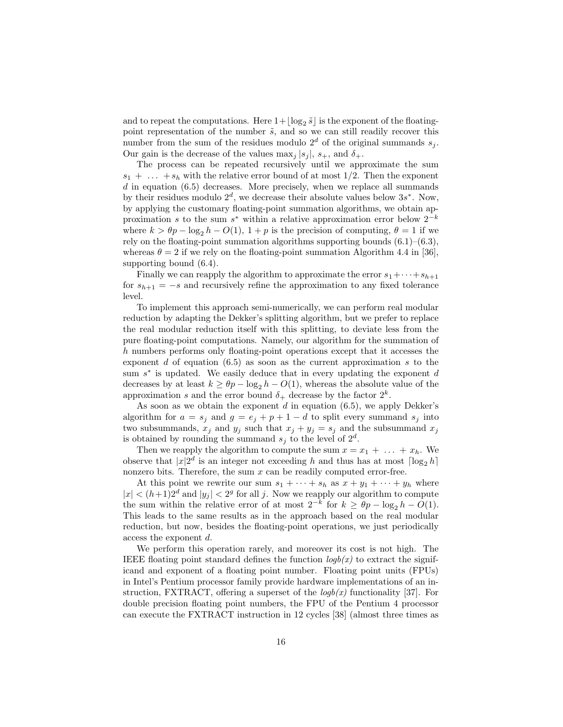and to repeat the computations. Here  $1 + \lfloor \log_2 \tilde{s} \rfloor$  is the exponent of the floatingpoint representation of the number  $\tilde{s}$ , and so we can still readily recover this number from the sum of the residues modulo  $2^d$  of the original summands  $s_j$ . Our gain is the decrease of the values  $\max_i |s_i|, s_+,$  and  $\delta_+.$ 

The process can be repeated recursively until we approximate the sum  $s_1 + \ldots + s_h$  with the relative error bound of at most 1/2. Then the exponent  $d$  in equation (6.5) decreases. More precisely, when we replace all summands by their residues modulo  $2^d$ , we decrease their absolute values below  $3s^*$ . Now, by applying the customary floating-point summation algorithms, we obtain approximation s to the sum  $s^*$  within a relative approximation error below  $2^{-k}$ where  $k > \theta p - \log_2 h - O(1)$ ,  $1 + p$  is the precision of computing,  $\theta = 1$  if we rely on the floating-point summation algorithms supporting bounds  $(6.1)$ – $(6.3)$ , whereas  $\theta = 2$  if we rely on the floating-point summation Algorithm 4.4 in [36], supporting bound (6.4).

Finally we can reapply the algorithm to approximate the error  $s_1 + \cdots + s_{h+1}$ for  $s_{h+1} = -s$  and recursively refine the approximation to any fixed tolerance level.

To implement this approach semi-numerically, we can perform real modular reduction by adapting the Dekker's splitting algorithm, but we prefer to replace the real modular reduction itself with this splitting, to deviate less from the pure floating-point computations. Namely, our algorithm for the summation of h numbers performs only floating-point operations except that it accesses the exponent d of equation  $(6.5)$  as soon as the current approximation s to the sum  $s^*$  is updated. We easily deduce that in every updating the exponent d decreases by at least  $k \geq \theta p - \log_2 h - O(1)$ , whereas the absolute value of the approximation s and the error bound  $\delta_+$  decrease by the factor  $2^k$ .

As soon as we obtain the exponent  $d$  in equation (6.5), we apply Dekker's algorithm for  $a = s_j$  and  $g = e_j + p + 1 - d$  to split every summand  $s_j$  into two subsummands,  $x_j$  and  $y_j$  such that  $x_j + y_j = s_j$  and the subsummand  $x_j$ is obtained by rounding the summand  $s_j$  to the level of  $2^d$ .

Then we reapply the algorithm to compute the sum  $x = x_1 + \ldots + x_h$ . We observe that  $|x|2^d$  is an integer not exceeding h and thus has at most  $\lceil \log_2 h \rceil$ nonzero bits. Therefore, the sum  $x$  can be readily computed error-free.

At this point we rewrite our sum  $s_1 + \cdots + s_h$  as  $x + y_1 + \cdots + y_h$  where  $|x| < (h+1)2^d$  and  $|y_j| < 2^g$  for all j. Now we reapply our algorithm to compute the sum within the relative error of at most  $2^{-k}$  for  $k \ge \theta p - \log_2 h - O(1)$ . This leads to the same results as in the approach based on the real modular reduction, but now, besides the floating-point operations, we just periodically access the exponent d.

We perform this operation rarely, and moreover its cost is not high. The IEEE floating point standard defines the function  $logb(x)$  to extract the significand and exponent of a floating point number. Floating point units (FPUs) in Intel's Pentium processor family provide hardware implementations of an instruction, FXTRACT, offering a superset of the  $logb(x)$  functionality [37]. For double precision floating point numbers, the FPU of the Pentium 4 processor can execute the FXTRACT instruction in 12 cycles [38] (almost three times as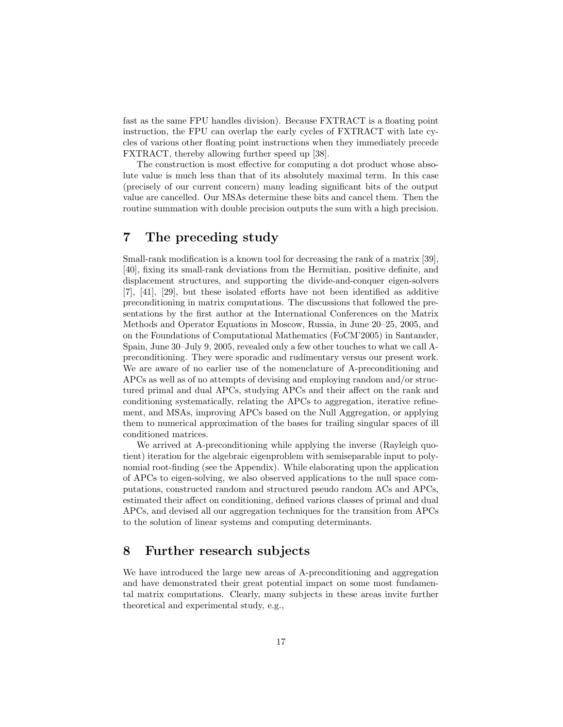fast as the same FPU handles division). Because FXTRACT is a floating point instruction, the FPU can overlap the early cycles of FXTRACT with late cycles of various other floating point instructions when they immediately precede FXTRACT, thereby allowing further speed up [38].

The construction is most effective for computing a dot product whose absolute value is much less than that of its absolutely maximal term. In this case (precisely of our current concern) many leading significant bits of the output value are cancelled. Our MSAs determine these bits and cancel them. Then the routine summation with double precision outputs the sum with a high precision.

## 7 The preceding study

Small-rank modification is a known tool for decreasing the rank of a matrix [39], [40], fixing its small-rank deviations from the Hermitian, positive definite, and displacement structures, and supporting the divide-and-conquer eigen-solvers [7], [41], [29], but these isolated efforts have not been identified as additive preconditioning in matrix computations. The discussions that followed the presentations by the first author at the International Conferences on the Matrix Methods and Operator Equations in Moscow, Russia, in June 20–25, 2005, and on the Foundations of Computational Mathematics (FoCM'2005) in Santander, Spain, June 30–July 9, 2005, revealed only a few other touches to what we call Apreconditioning. They were sporadic and rudimentary versus our present work. We are aware of no earlier use of the nomenclature of A-preconditioning and APCs as well as of no attempts of devising and employing random and/or structured primal and dual APCs, studying APCs and their affect on the rank and conditioning systematically, relating the APCs to aggregation, iterative refinement, and MSAs, improving APCs based on the Null Aggregation, or applying them to numerical approximation of the bases for trailing singular spaces of ill conditioned matrices.

We arrived at A-preconditioning while applying the inverse (Rayleigh quotient) iteration for the algebraic eigenproblem with semiseparable input to polynomial root-finding (see the Appendix). While elaborating upon the application of APCs to eigen-solving, we also observed applications to the null space computations, constructed random and structured pseudo random ACs and APCs, estimated their affect on conditioning, defined various classes of primal and dual APCs, and devised all our aggregation techniques for the transition from APCs to the solution of linear systems and computing determinants.

## 8 Further research subjects

We have introduced the large new areas of A-preconditioning and aggregation and have demonstrated their great potential impact on some most fundamental matrix computations. Clearly, many subjects in these areas invite further theoretical and experimental study, e.g.,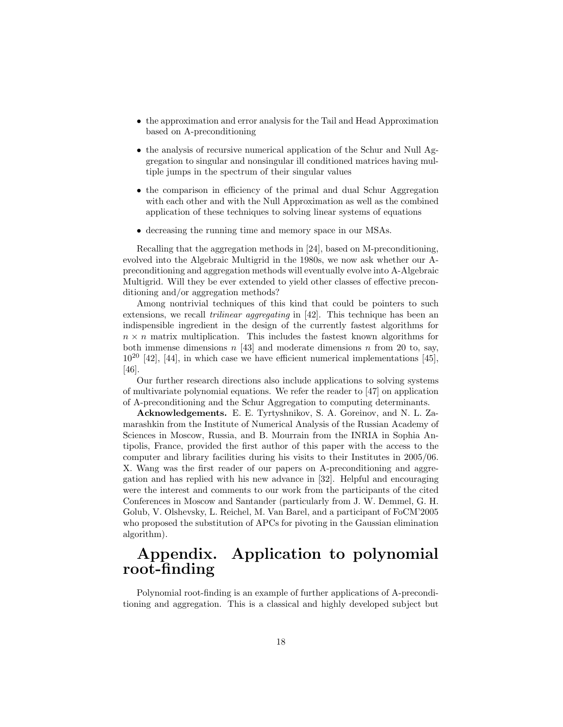- the approximation and error analysis for the Tail and Head Approximation based on A-preconditioning
- the analysis of recursive numerical application of the Schur and Null Aggregation to singular and nonsingular ill conditioned matrices having multiple jumps in the spectrum of their singular values
- the comparison in efficiency of the primal and dual Schur Aggregation with each other and with the Null Approximation as well as the combined application of these techniques to solving linear systems of equations
- decreasing the running time and memory space in our MSAs.

Recalling that the aggregation methods in [24], based on M-preconditioning, evolved into the Algebraic Multigrid in the 1980s, we now ask whether our Apreconditioning and aggregation methods will eventually evolve into A-Algebraic Multigrid. Will they be ever extended to yield other classes of effective preconditioning and/or aggregation methods?

Among nontrivial techniques of this kind that could be pointers to such extensions, we recall *trilinear aggregating* in [42]. This technique has been an indispensible ingredient in the design of the currently fastest algorithms for  $n \times n$  matrix multiplication. This includes the fastest known algorithms for both immense dimensions  $n$  [43] and moderate dimensions  $n$  from 20 to, say,  $10^{20}$  [42], [44], in which case we have efficient numerical implementations [45], [46].

Our further research directions also include applications to solving systems of multivariate polynomial equations. We refer the reader to [47] on application of A-preconditioning and the Schur Aggregation to computing determinants.

Acknowledgements. E. E. Tyrtyshnikov, S. A. Goreinov, and N. L. Zamarashkin from the Institute of Numerical Analysis of the Russian Academy of Sciences in Moscow, Russia, and B. Mourrain from the INRIA in Sophia Antipolis, France, provided the first author of this paper with the access to the computer and library facilities during his visits to their Institutes in 2005/06. X. Wang was the first reader of our papers on A-preconditioning and aggregation and has replied with his new advance in [32]. Helpful and encouraging were the interest and comments to our work from the participants of the cited Conferences in Moscow and Santander (particularly from J. W. Demmel, G. H. Golub, V. Olshevsky, L. Reichel, M. Van Barel, and a participant of FoCM'2005 who proposed the substitution of APCs for pivoting in the Gaussian elimination algorithm).

# Appendix. Application to polynomial root-finding

Polynomial root-finding is an example of further applications of A-preconditioning and aggregation. This is a classical and highly developed subject but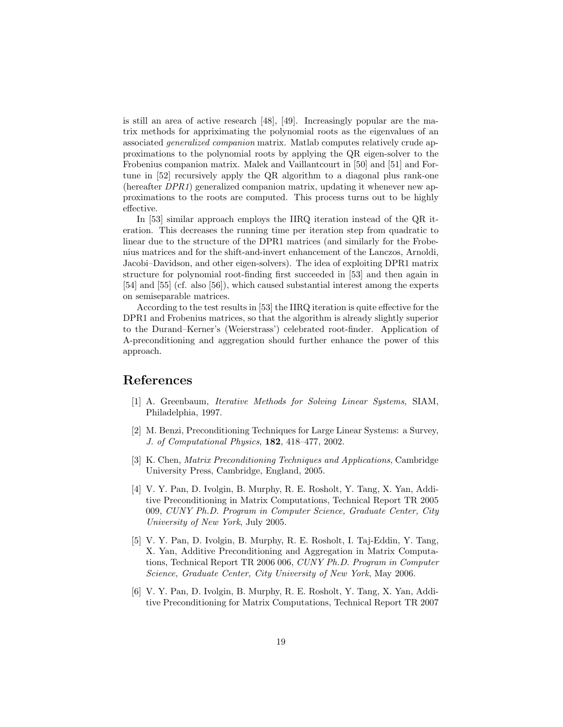is still an area of active research [48], [49]. Increasingly popular are the matrix methods for appriximating the polynomial roots as the eigenvalues of an associated generalized companion matrix. Matlab computes relatively crude approximations to the polynomial roots by applying the QR eigen-solver to the Frobenius companion matrix. Malek and Vaillantcourt in [50] and [51] and Fortune in [52] recursively apply the QR algorithm to a diagonal plus rank-one (hereafter DPR1) generalized companion matrix, updating it whenever new approximations to the roots are computed. This process turns out to be highly effective.

In [53] similar approach employs the IIRQ iteration instead of the QR iteration. This decreases the running time per iteration step from quadratic to linear due to the structure of the DPR1 matrices (and similarly for the Frobenius matrices and for the shift-and-invert enhancement of the Lanczos, Arnoldi, Jacobi–Davidson, and other eigen-solvers). The idea of exploiting DPR1 matrix structure for polynomial root-finding first succeeded in [53] and then again in [54] and [55] (cf. also [56]), which caused substantial interest among the experts on semiseparable matrices.

According to the test results in [53] the IIRQ iteration is quite effective for the DPR1 and Frobenius matrices, so that the algorithm is already slightly superior to the Durand–Kerner's (Weierstrass') celebrated root-finder. Application of A-preconditioning and aggregation should further enhance the power of this approach.

## References

- [1] A. Greenbaum, Iterative Methods for Solving Linear Systems, SIAM, Philadelphia, 1997.
- [2] M. Benzi, Preconditioning Techniques for Large Linear Systems: a Survey, J. of Computational Physics, 182, 418–477, 2002.
- [3] K. Chen, Matrix Preconditioning Techniques and Applications, Cambridge University Press, Cambridge, England, 2005.
- [4] V. Y. Pan, D. Ivolgin, B. Murphy, R. E. Rosholt, Y. Tang, X. Yan, Additive Preconditioning in Matrix Computations, Technical Report TR 2005 009, CUNY Ph.D. Program in Computer Science, Graduate Center, City University of New York, July 2005.
- [5] V. Y. Pan, D. Ivolgin, B. Murphy, R. E. Rosholt, I. Taj-Eddin, Y. Tang, X. Yan, Additive Preconditioning and Aggregation in Matrix Computations, Technical Report TR 2006 006, CUNY Ph.D. Program in Computer Science, Graduate Center, City University of New York, May 2006.
- [6] V. Y. Pan, D. Ivolgin, B. Murphy, R. E. Rosholt, Y. Tang, X. Yan, Additive Preconditioning for Matrix Computations, Technical Report TR 2007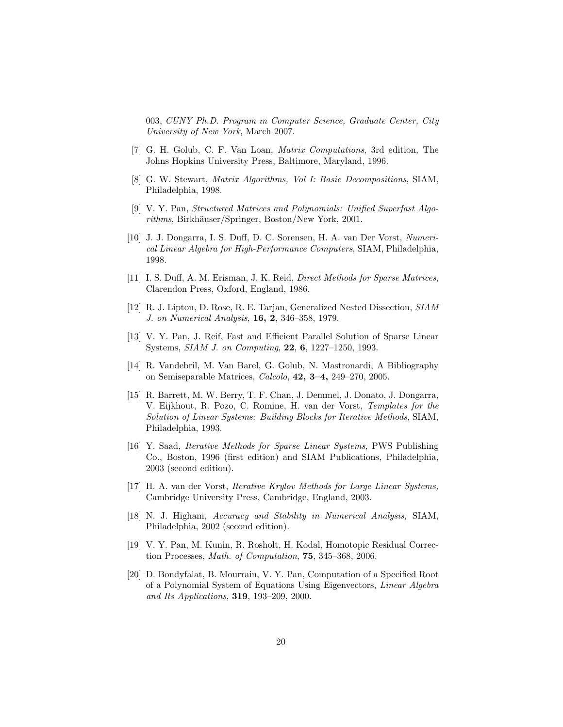003, CUNY Ph.D. Program in Computer Science, Graduate Center, City University of New York, March 2007.

- [7] G. H. Golub, C. F. Van Loan, Matrix Computations, 3rd edition, The Johns Hopkins University Press, Baltimore, Maryland, 1996.
- [8] G. W. Stewart, Matrix Algorithms, Vol I: Basic Decompositions, SIAM, Philadelphia, 1998.
- [9] V. Y. Pan, Structured Matrices and Polynomials: Unified Superfast Algorithms, Birkhäuser/Springer, Boston/New York, 2001.
- [10] J. J. Dongarra, I. S. Duff, D. C. Sorensen, H. A. van Der Vorst, Numerical Linear Algebra for High-Performance Computers, SIAM, Philadelphia, 1998.
- [11] I. S. Duff, A. M. Erisman, J. K. Reid, Direct Methods for Sparse Matrices, Clarendon Press, Oxford, England, 1986.
- [12] R. J. Lipton, D. Rose, R. E. Tarjan, Generalized Nested Dissection, SIAM J. on Numerical Analysis, 16, 2, 346–358, 1979.
- [13] V. Y. Pan, J. Reif, Fast and Efficient Parallel Solution of Sparse Linear Systems, SIAM J. on Computing, 22, 6, 1227–1250, 1993.
- [14] R. Vandebril, M. Van Barel, G. Golub, N. Mastronardi, A Bibliography on Semiseparable Matrices, Calcolo, 42, 3–4, 249–270, 2005.
- [15] R. Barrett, M. W. Berry, T. F. Chan, J. Demmel, J. Donato, J. Dongarra, V. Eijkhout, R. Pozo, C. Romine, H. van der Vorst, Templates for the Solution of Linear Systems: Building Blocks for Iterative Methods, SIAM, Philadelphia, 1993.
- [16] Y. Saad, Iterative Methods for Sparse Linear Systems, PWS Publishing Co., Boston, 1996 (first edition) and SIAM Publications, Philadelphia, 2003 (second edition).
- [17] H. A. van der Vorst, Iterative Krylov Methods for Large Linear Systems, Cambridge University Press, Cambridge, England, 2003.
- [18] N. J. Higham, Accuracy and Stability in Numerical Analysis, SIAM, Philadelphia, 2002 (second edition).
- [19] V. Y. Pan, M. Kunin, R. Rosholt, H. Kodal, Homotopic Residual Correction Processes, Math. of Computation, 75, 345–368, 2006.
- [20] D. Bondyfalat, B. Mourrain, V. Y. Pan, Computation of a Specified Root of a Polynomial System of Equations Using Eigenvectors, Linear Algebra and Its Applications, 319, 193–209, 2000.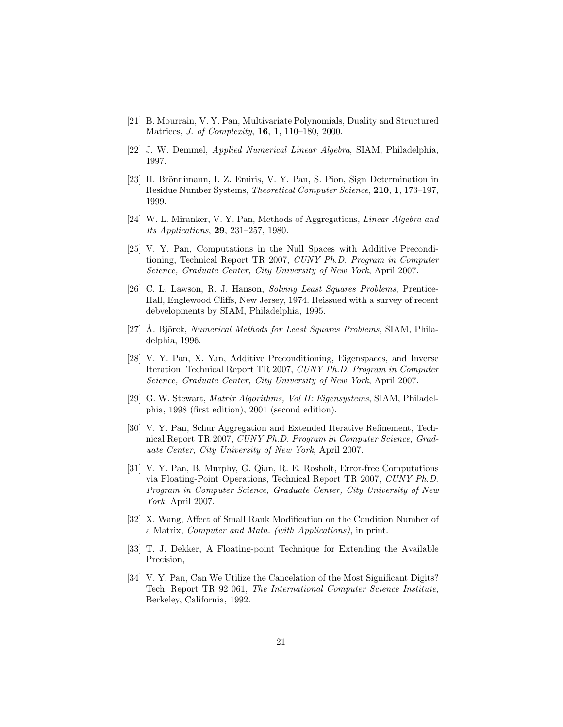- [21] B. Mourrain, V. Y. Pan, Multivariate Polynomials, Duality and Structured Matrices, J. of Complexity, 16, 1, 110–180, 2000.
- [22] J. W. Demmel, Applied Numerical Linear Algebra, SIAM, Philadelphia, 1997.
- [23] H. Brönnimann, I. Z. Emiris, V. Y. Pan, S. Pion, Sign Determination in Residue Number Systems, Theoretical Computer Science, 210, 1, 173–197, 1999.
- [24] W. L. Miranker, V. Y. Pan, Methods of Aggregations, Linear Algebra and Its Applications, 29, 231–257, 1980.
- [25] V. Y. Pan, Computations in the Null Spaces with Additive Preconditioning, Technical Report TR 2007, CUNY Ph.D. Program in Computer Science, Graduate Center, City University of New York, April 2007.
- [26] C. L. Lawson, R. J. Hanson, Solving Least Squares Problems, Prentice-Hall, Englewood Cliffs, New Jersey, 1974. Reissued with a survey of recent debvelopments by SIAM, Philadelphia, 1995.
- [27] Å. Björck, *Numerical Methods for Least Squares Problems*, SIAM, Philadelphia, 1996.
- [28] V. Y. Pan, X. Yan, Additive Preconditioning, Eigenspaces, and Inverse Iteration, Technical Report TR 2007, CUNY Ph.D. Program in Computer Science, Graduate Center, City University of New York, April 2007.
- [29] G. W. Stewart, Matrix Algorithms, Vol II: Eigensystems, SIAM, Philadelphia, 1998 (first edition), 2001 (second edition).
- [30] V. Y. Pan, Schur Aggregation and Extended Iterative Refinement, Technical Report TR 2007, CUNY Ph.D. Program in Computer Science, Graduate Center, City University of New York, April 2007.
- [31] V. Y. Pan, B. Murphy, G. Qian, R. E. Rosholt, Error-free Computations via Floating-Point Operations, Technical Report TR 2007, CUNY Ph.D. Program in Computer Science, Graduate Center, City University of New York, April 2007.
- [32] X. Wang, Affect of Small Rank Modification on the Condition Number of a Matrix, Computer and Math. (with Applications), in print.
- [33] T. J. Dekker, A Floating-point Technique for Extending the Available Precision,
- [34] V. Y. Pan, Can We Utilize the Cancelation of the Most Significant Digits? Tech. Report TR 92 061, The International Computer Science Institute, Berkeley, California, 1992.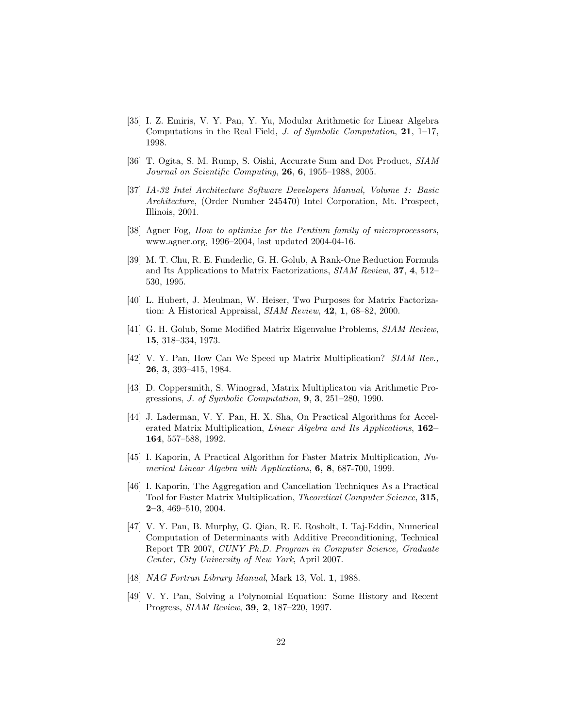- [35] I. Z. Emiris, V. Y. Pan, Y. Yu, Modular Arithmetic for Linear Algebra Computations in the Real Field, J. of Symbolic Computation, 21, 1–17, 1998.
- [36] T. Ogita, S. M. Rump, S. Oishi, Accurate Sum and Dot Product, SIAM Journal on Scientific Computing, 26, 6, 1955–1988, 2005.
- [37] IA-32 Intel Architecture Software Developers Manual, Volume 1: Basic Architecture, (Order Number 245470) Intel Corporation, Mt. Prospect, Illinois, 2001.
- [38] Agner Fog, How to optimize for the Pentium family of microprocessors, www.agner.org, 1996–2004, last updated 2004-04-16.
- [39] M. T. Chu, R. E. Funderlic, G. H. Golub, A Rank-One Reduction Formula and Its Applications to Matrix Factorizations, SIAM Review, 37, 4, 512– 530, 1995.
- [40] L. Hubert, J. Meulman, W. Heiser, Two Purposes for Matrix Factorization: A Historical Appraisal, SIAM Review, 42, 1, 68–82, 2000.
- [41] G. H. Golub, Some Modified Matrix Eigenvalue Problems, SIAM Review, 15, 318–334, 1973.
- [42] V. Y. Pan, How Can We Speed up Matrix Multiplication? SIAM Rev., 26, 3, 393–415, 1984.
- [43] D. Coppersmith, S. Winograd, Matrix Multiplicaton via Arithmetic Progressions, J. of Symbolic Computation, 9, 3, 251–280, 1990.
- [44] J. Laderman, V. Y. Pan, H. X. Sha, On Practical Algorithms for Accelerated Matrix Multiplication, Linear Algebra and Its Applications, 162– 164, 557–588, 1992.
- [45] I. Kaporin, A Practical Algorithm for Faster Matrix Multiplication, Numerical Linear Algebra with Applications, 6, 8, 687-700, 1999.
- [46] I. Kaporin, The Aggregation and Cancellation Techniques As a Practical Tool for Faster Matrix Multiplication, Theoretical Computer Science, 315, 2–3, 469–510, 2004.
- [47] V. Y. Pan, B. Murphy, G. Qian, R. E. Rosholt, I. Taj-Eddin, Numerical Computation of Determinants with Additive Preconditioning, Technical Report TR 2007, CUNY Ph.D. Program in Computer Science, Graduate Center, City University of New York, April 2007.
- [48] *NAG Fortran Library Manual*, Mark 13, Vol. **1**, 1988.
- [49] V. Y. Pan, Solving a Polynomial Equation: Some History and Recent Progress, SIAM Review, 39, 2, 187–220, 1997.